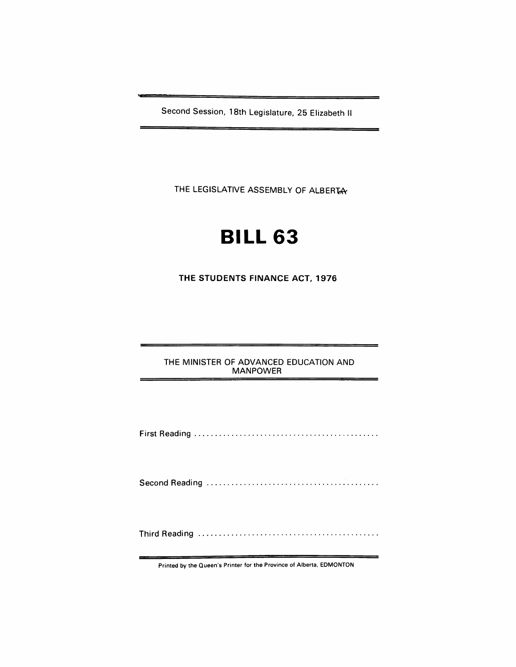Second Session, 18th Legislature, 25 Elizabeth II

THE LEGISLATIVE ASSEMBLY OF ALBERTAY

## **BILL 63**

**THE STUDENTS FINANCE ACT, 1976** 

THE MINISTER OF ADVANCED EDUCATION AND MANPOWER

Printed by the Queen's Printer for the Province of Alberta, EDMONTON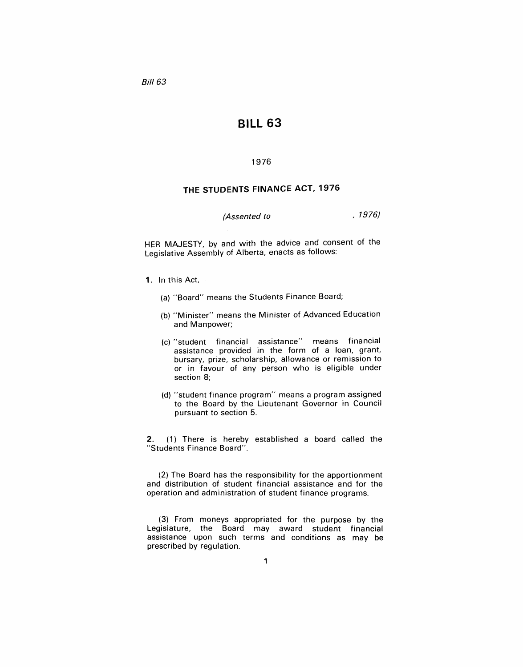Bil/63

## **BILL 63**

## 1976

## **THE STUDENTS FINANCE ACT, 1976**

(Assented to and the set of the set of the set of the set of the set of the set of the set of the set of the set of the set of the set of the set of the set of the set of the set of the set of the set of the set of the set

HER MAJESTY, by and with the advice and consent of the Legislative Assembly of Alberta, enacts as follows:

- 1. In this Act,
	- (a) "Board" means the Students Finance Board;
	- (b) "Minister" means the Minister of Advanced Education and Manpower;
	- (c) "student financial assistance" means financial assistance provided in the form of a loan, grant, bursary, prize, scholarship, allowance or remission to or in favour of any person who is eligible under section 8;
	- (d) "student finance program" means a program assigned to the Board by the Lieutenant Governor in Council pursuant to section 5.

2. (1) There is hereby established a board called the "Students Finance Board".

(2) The Board has the responsibility for the apportionment and distribution of student financial assistance and for the operation and administration of student finance programs.

(3) From moneys appropriated for the purpose by the Legislature, the Board may award student financial assistance upon such terms and conditions as may be prescribed by regulation.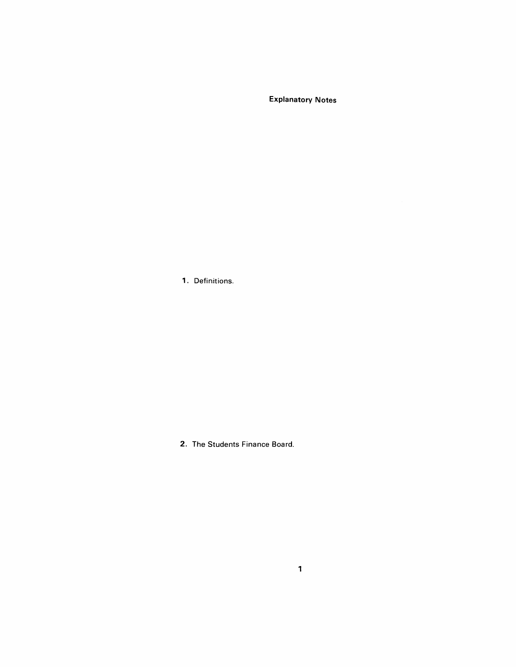Explanatory Notes

1. Definitions.

2. The Students Finance Board.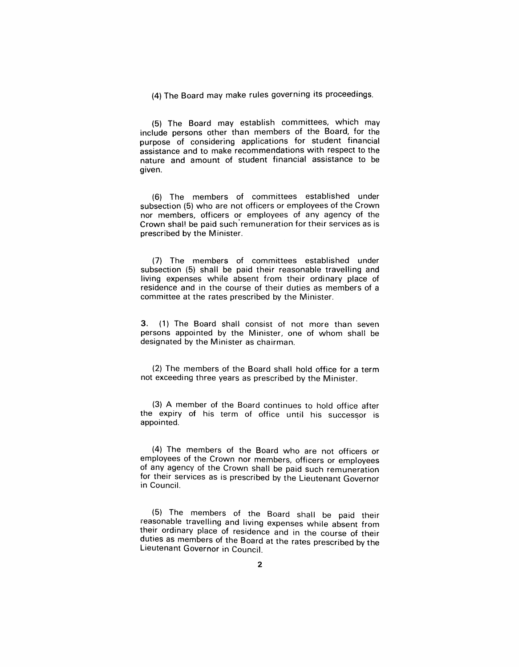(4) The Board may make rules governing its proceedings.

(5) The Board may establish committees, which may include persons other than members of the Board, for the purpose of considering applications for student financial assistance and to make recommendations with respect to the nature and amount of student financial assistance to be given.

(6) The members of committees established under subsection (5) who are not officers or employees of the Crown nor members, officers or employees of any agency of the Crown shal! be paid such' remuneration for their services as is prescribed by the Minister.

(7) The members of committees established under subsection (5) shall be paid their reasonable travelling and living expenses while absent from their ordinary place of residence and in the course of their duties as members of a committee at the rates prescribed by the Minister.

3. (1) The Board shall consist of not more than seven persons appointed by the Minister, one of whom shall be designated by the Minister as chairman.

(2) The members of the Board shall hold office for a term not exceeding three years as prescribed by the Minister.

(3) A member of the Board continues to hold office after the expiry of his term of office until his successor is appointed.

(4) The members of the Board who are not officers or employees of the Crown nor members, officers or employees of any agency of the Crown shall be paid such remuneration for their services as is prescribed by the Lieutenant Governor in Council.

(5) The members of the Board shall be paid their reasonable travelling and living expenses while absent from their ordinary place of residence and in the course of their duties as members of the Board at the rates prescribed by the Lieutenant Governor in Council.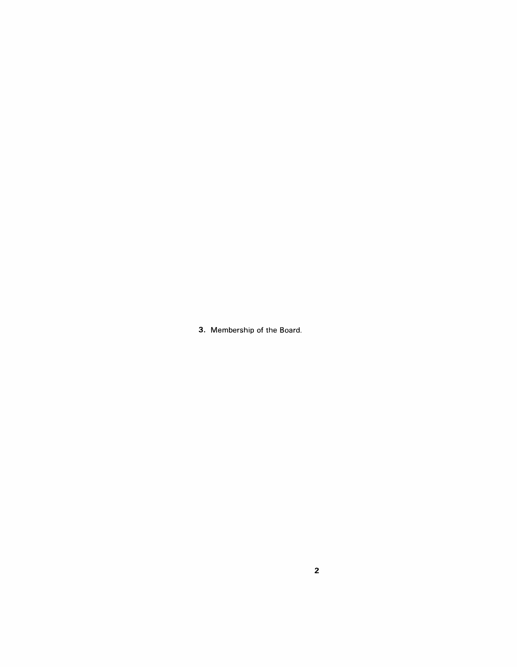3. Membership of the Board.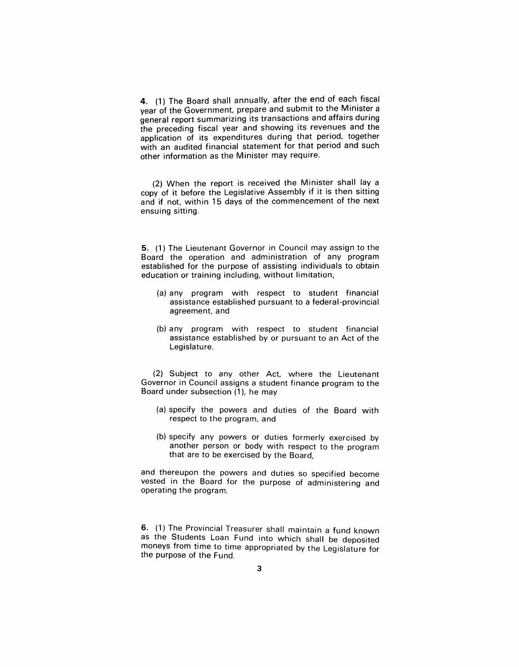4. (1) The Board shall annually, after the end of each fiscal year of the Government, prepare and submit to the Minister a general report summarizing its transactions and affairs during the preceding fiscal year and showing its revenues and the application of its expenditures during that period, together with an audited financial statement for that period and such other information as the Minister may require.

(2) When the report is received the Minister shall lay a copy of it before the Legislative Assembly if it is then sitting and if not, within 15 days of the commencement of the next ensuing sitting.

5. (1) The Lieutenant Governor in Council may assign to the Board the operation and administration of any program established for the purpose of assisting individuals to obtain education or training including, without limitation,

- (a) any program with respect to student financial assistance established pursuant to a federal-provincial agreement, and
- (b) any program with respect to student financial assistance established by or pursuant to an Act of the Legislature.

(2) Subject to any other Act, where the Lieutenant Governor in Council assigns a student finance program to the Board under subsection (1), he may

- (a) specify the powers and duties of the Board with respect to the program, and
- (b) specify any powers or duties formerly exercised by another person or body with respect to the program that are to be exercised by the Board,

and thereupon the powers and duties so specified become vested in the Board for the purpose of administering and operating the program.

6. (1) The Provincial Treasurer shall maintain a fund known as the Students Loan Fund into which shall be deposited moneys from time to time appropriated by the Legislature for the purpose of the Fund.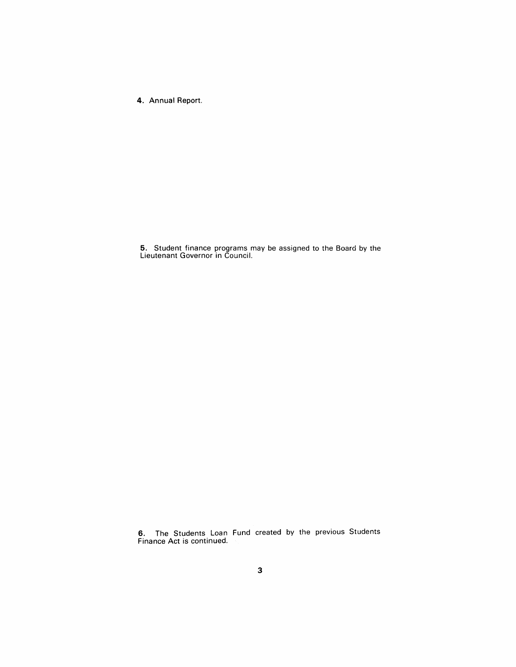4. Annual Report.

5. Student finance programs may be assigned to the Board by the Lieutenant Governor in Council.

6. The Students Loan Fund created by the previous Students Finance Act is continued.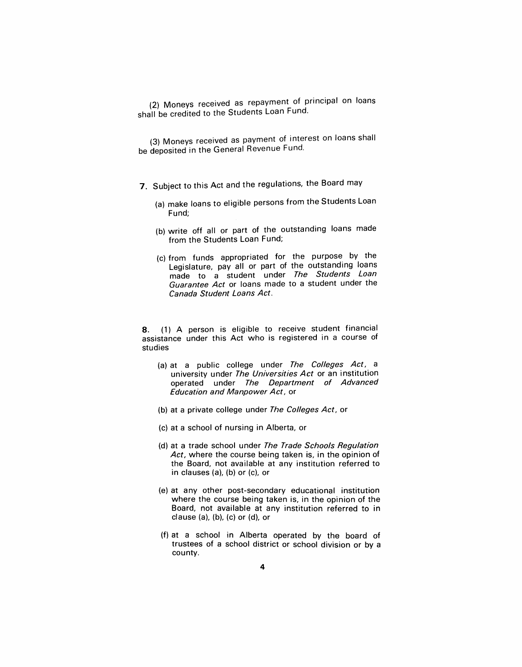(2) Moneys received as repayment of principal on loans shall be credited to the Students Loan Fund.

(3) Moneys received as payment of interest on loans shall be deposited in the General Revenue Fund.

- 7. Subject to this Act and the regulations, the Board may
	- (a) make loans to eligible persons from the Students Loan Fund;
	- (b) write off all or part of the outstanding loans made from the Students Loan Fund;
	- (c) from funds appropriated for the purpose by the Legislature, pay all or part of the outstanding loans made to a student under The Students Loan Guarantee Act or loans made to a student under the Canada Student Loans Act.

8. (1) A person is eligible to receive student financial assistance under this Act who is registered in a course of studies

- (a) at a public college under The Colleges Act, a university under The Universities Act or an institution operated under The Department of Advanced Education and Manpower Act, or
- (b) at a private college under The Colleges Act, or
- (c) at a school of nursing in Alberta, or
- (d) at a trade school under The Trade Schools Regulation Act, where the course being taken is, in the opinion of the Board, not available at any institution referred to in clauses (a), (b) or (c), or
- (e) at any other post-secondary educational institution where the course being taken is, in the opinion of the Board, not available at any institution referred to in clause  $(a)$ ,  $(b)$ ,  $(c)$  or  $(d)$ , or
- (f) at a school in Alberta operated by the board of trustees of a school district or school division or by a county.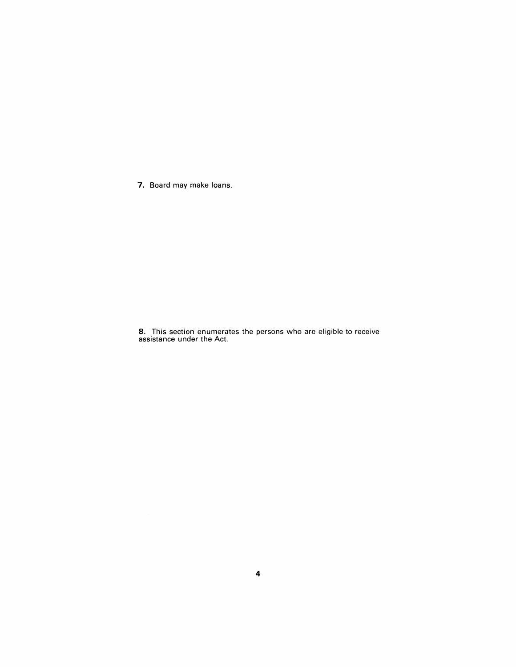7. Board may make loans.

8. This section enumerates the persons who are eligible to receive assistance under the Act.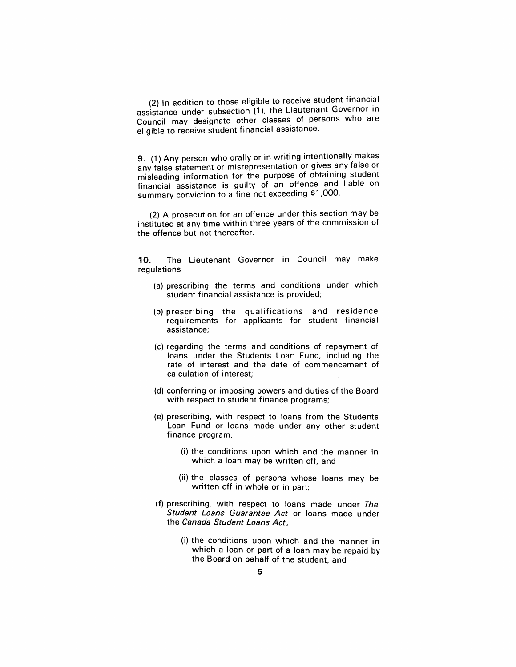(2) In addition to those eligible to receive student financial assistance under subsection (1), the Lieutenant Governor in Council may designate other classes of persons who are eligible to receive student financial assistance.

9. (1) Any person who orally or in writing intentionally makes any false statement or misrepresentation or gives any false or misleading information for the purpose of obtaining student financial assistance is guilty of an offence and liable on summary conviction to a fine not exceeding \$1,000.

(2) A prosecution for an offence under this section may be instituted at any time within three years of the commission of the offence but not thereafter.

10. The Lieutenant Governor in Council may make regulations

- (a) prescribing the terms and conditions under which student financial assistance is provided;
- (b) prescribing the qualifications and residence requirements for applicants for student financial assistance;
- (c) regarding the terms and conditions of repayment of loans under the Students Loan Fund, including the rate of interest and the date of commencement of calculation of interest;
- (d) conferring or imposing powers and duties of the Board with respect to student finance programs;
- (e) prescribing, with respect to loans from the Students Loan Fund or loans made under any other student finance program,
	- (i) the conditions upon which and the manner in which a loan may be written off, and
	- (ii) the classes of persons whose loans may be written off in whole or in part;
- (f) prescribing, with respect to loans made under The Student Loans Guarantee Act or loans made under the Canada Student Loans Act,
	- (i) the conditions upon which and the manner in which a loan or part of a loan may be repaid by the Board on behalf of the student, and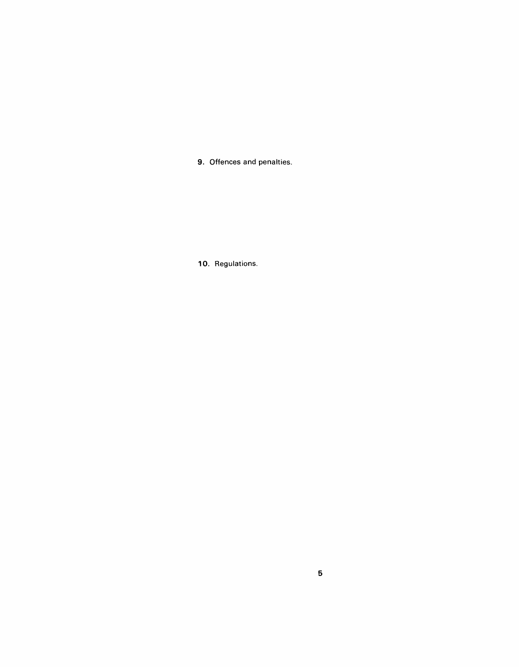9. Offences and penalties.

10. Regulations.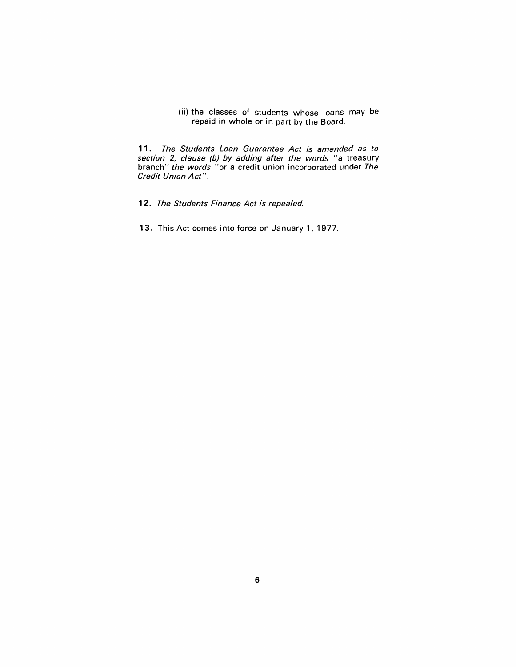(ii) the classes of students whose loans may be repaid in whole or in part by the Board.

11. The Students Loan Guarantee Act is amended as to section 2, clause (b) by adding after the words "a treasury branch" the words "or a credit union incorporated under The Credit Union Act".

- 12. The Students Finance Act is repealed.
- 13. This Act comes into force on January 1, 1977.